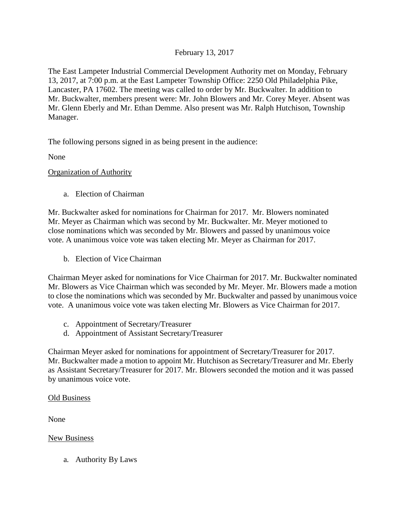## February 13, 2017

The East Lampeter Industrial Commercial Development Authority met on Monday, February 13, 2017, at 7:00 p.m. at the East Lampeter Township Office: 2250 Old Philadelphia Pike, Lancaster, PA 17602. The meeting was called to order by Mr. Buckwalter. In addition to Mr. Buckwalter, members present were: Mr. John Blowers and Mr. Corey Meyer. Absent was Mr. Glenn Eberly and Mr. Ethan Demme. Also present was Mr. Ralph Hutchison, Township Manager.

The following persons signed in as being present in the audience:

None

Organization of Authority

a. Election of Chairman

Mr. Buckwalter asked for nominations for Chairman for 2017. Mr. Blowers nominated Mr. Meyer as Chairman which was second by Mr. Buckwalter. Mr. Meyer motioned to close nominations which was seconded by Mr. Blowers and passed by unanimous voice vote. A unanimous voice vote was taken electing Mr. Meyer as Chairman for 2017.

b. Election of Vice Chairman

Chairman Meyer asked for nominations for Vice Chairman for 2017. Mr. Buckwalter nominated Mr. Blowers as Vice Chairman which was seconded by Mr. Meyer. Mr. Blowers made a motion to close the nominations which was seconded by Mr. Buckwalter and passed by unanimous voice vote. A unanimous voice vote was taken electing Mr. Blowers as Vice Chairman for 2017.

- c. Appointment of Secretary/Treasurer
- d. Appointment of Assistant Secretary/Treasurer

Chairman Meyer asked for nominations for appointment of Secretary/Treasurer for 2017. Mr. Buckwalter made a motion to appoint Mr. Hutchison as Secretary/Treasurer and Mr. Eberly as Assistant Secretary/Treasurer for 2017. Mr. Blowers seconded the motion and it was passed by unanimous voice vote.

## Old Business

None

New Business

a. Authority By Laws